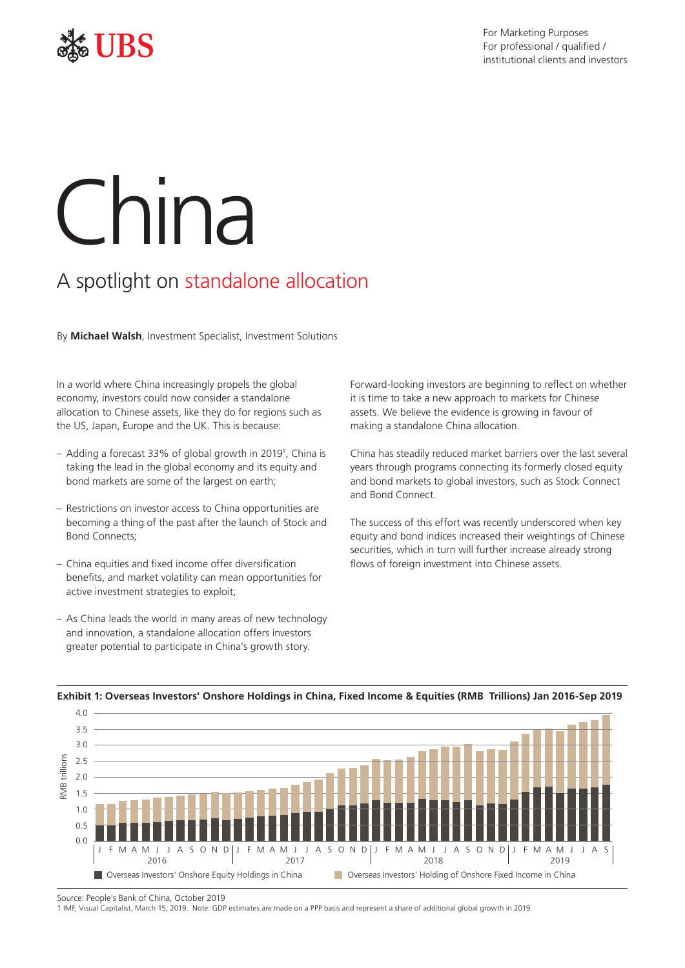

# China

# A spotlight on standalone allocation

By **Michael Walsh**, Investment Specialist, Investment Solutions

In a world where China increasingly propels the global economy, investors could now consider a standalone allocation to Chinese assets, like they do for regions such as the US, Japan, Europe and the UK. This is because:

- Adding a forecast 33% of global growth in 20191 , China is taking the lead in the global economy and its equity and bond markets are some of the largest on earth;
- Restrictions on investor access to China opportunities are becoming a thing of the past after the launch of Stock and Bond Connects;
- China equities and fxed income offer diversifcation benefts, and market volatility can mean opportunities for active investment strategies to exploit;
- As China leads the world in many areas of new technology and innovation, a standalone allocation offers investors greater potential to participate in China's growth story.

Forward-looking investors are beginning to reflect on whether it is time to take a new approach to markets for Chinese assets. We believe the evidence is growing in favour of making a standalone China allocation.

China has steadily reduced market barriers over the last several years through programs connecting its formerly closed equity and bond markets to global investors, such as Stock Connect and Bond Connect.

The success of this effort was recently underscored when key equity and bond indices increased their weightings of Chinese securities, which in turn will further increase already strong flows of foreign investment into Chinese assets.



## **Exhibit 1: Overseas Investors' Onshore Holdings in China, Fixed Income & Equities (RMB Trillions) Jan 2016-Sep 2019**

Source: People's Bank of China, October 2019

1 IMF, Visual Capitalist, March 15, 2019. Note: GDP estimates are made on a PPP basis and represent a share of additional global growth in 2019.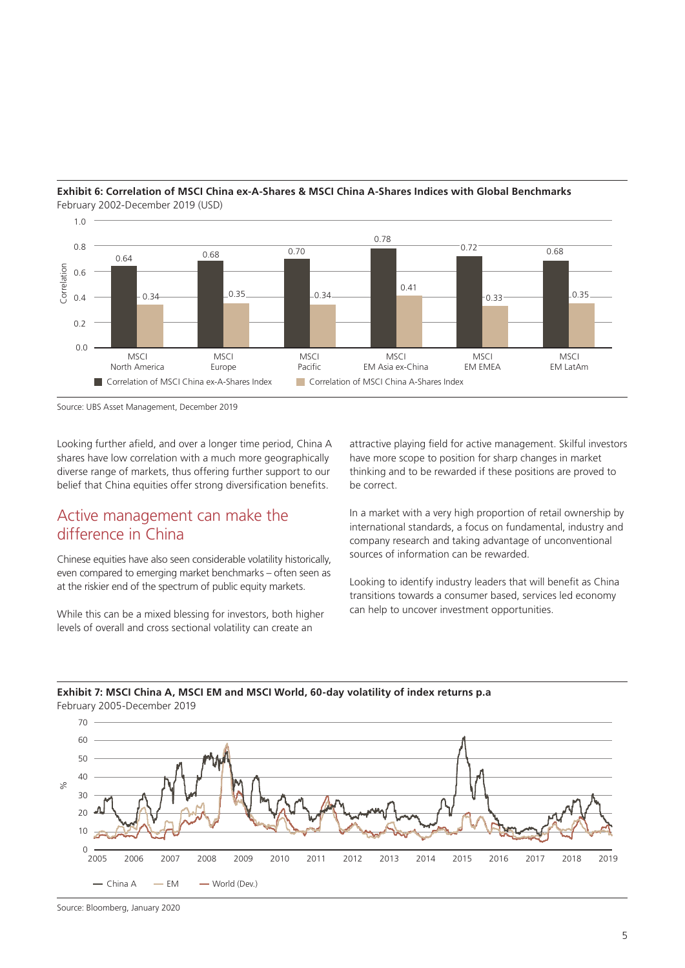

#### **Exhibit 6: Correlation of MSCI China ex-A-Shares & MSCI China A-Shares Indices with Global Benchmarks**  February 2002-December 2019 (USD)

Source: UBS Asset Management, December 2019

Looking further afield, and over a longer time period, China A shares have low correlation with a much more geographically diverse range of markets, thus offering further support to our belief that China equities offer strong diversification benefits.

# Active management can make the difference in China

Chinese equities have also seen considerable volatility historically, even compared to emerging market benchmarks – often seen as at the riskier end of the spectrum of public equity markets.

While this can be a mixed blessing for investors, both higher levels of overall and cross sectional volatility can create an

attractive playing field for active management. Skilful investors have more scope to position for sharp changes in market thinking and to be rewarded if these positions are proved to be correct.

In a market with a very high proportion of retail ownership by international standards, a focus on fundamental, industry and company research and taking advantage of unconventional sources of information can be rewarded.

Looking to identify industry leaders that will benefit as China transitions towards a consumer based, services led economy can help to uncover investment opportunities.

## **Exhibit 7: MSCI China A, MSCI EM and MSCI World, 60-day volatility of index returns p.a**  February 2005-December 2019



Source: Bloomberg, January 2020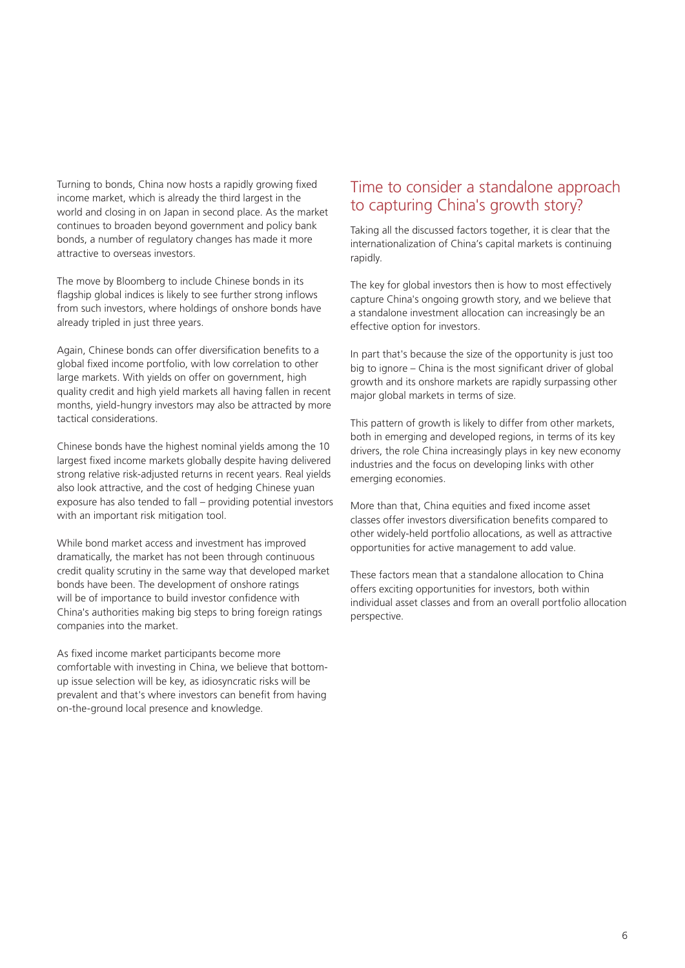Turning to bonds, China now hosts a rapidly growing fixed income market, which is already the third largest in the world and closing in on Japan in second place. As the market continues to broaden beyond government and policy bank bonds, a number of regulatory changes has made it more attractive to overseas investors.

The move by Bloomberg to include Chinese bonds in its flagship global indices is likely to see further strong inflows from such investors, where holdings of onshore bonds have already tripled in just three years.

Again, Chinese bonds can offer diversification benefits to a global fxed income portfolio, with low correlation to other large markets. With yields on offer on government, high quality credit and high yield markets all having fallen in recent months, yield-hungry investors may also be attracted by more tactical considerations.

Chinese bonds have the highest nominal yields among the 10 largest fixed income markets globally despite having delivered strong relative risk-adjusted returns in recent years. Real yields also look attractive, and the cost of hedging Chinese yuan exposure has also tended to fall – providing potential investors with an important risk mitigation tool.

While bond market access and investment has improved dramatically, the market has not been through continuous credit quality scrutiny in the same way that developed market bonds have been. The development of onshore ratings will be of importance to build investor confidence with China's authorities making big steps to bring foreign ratings companies into the market.

As fixed income market participants become more comfortable with investing in China, we believe that bottomup issue selection will be key, as idiosyncratic risks will be prevalent and that's where investors can benefit from having on-the-ground local presence and knowledge.

# Time to consider a standalone approach to capturing China's growth story?

Taking all the discussed factors together, it is clear that the internationalization of China's capital markets is continuing rapidly.

The key for global investors then is how to most effectively capture China's ongoing growth story, and we believe that a standalone investment allocation can increasingly be an effective option for investors.

In part that's because the size of the opportunity is just too big to ignore – China is the most significant driver of global growth and its onshore markets are rapidly surpassing other major global markets in terms of size.

This pattern of growth is likely to differ from other markets, both in emerging and developed regions, in terms of its key drivers, the role China increasingly plays in key new economy industries and the focus on developing links with other emerging economies.

More than that, China equities and fixed income asset classes offer investors diversification benefits compared to other widely-held portfolio allocations, as well as attractive opportunities for active management to add value.

These factors mean that a standalone allocation to China offers exciting opportunities for investors, both within individual asset classes and from an overall portfolio allocation perspective.